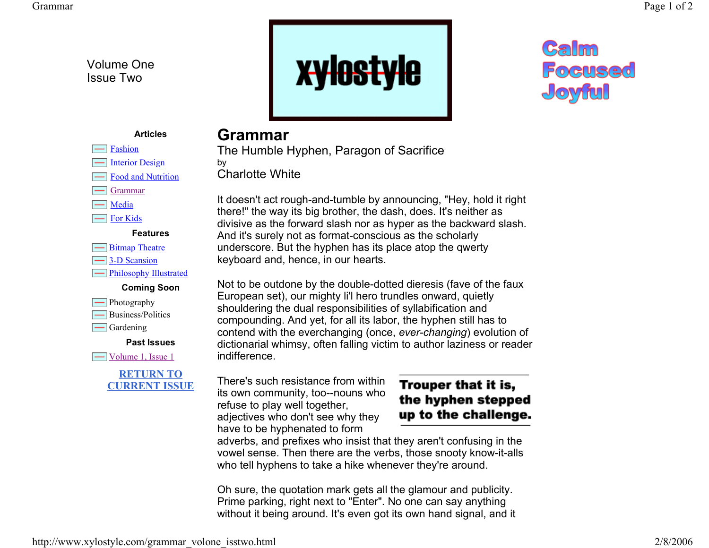Volume One Issue Two

> Fashion Interior Design Food and Nutrition

Grammar

For Kids

 $\equiv$ Bitmap Theatre **3-D** Scansion

**Photography** 

 $\Box$  Gardening

**Film** Philosophy Illustrated **Coming Soon**

Business/Politics

 $\equiv$  Volume 1, Issue 1

**Past Issues**

**RETURN TO CURRENT ISSUE**

 $\equiv$  Media



# Calm **Focused** Joyful

#### **Articles**

**Features**

## **Grammar**

The Humble Hyphen, Paragon of Sacrifice by Charlotte White

It doesn't act rough-and-tumble by announcing, "Hey, hold it right there!" the way its big brother, the dash, does. It's neither as divisive as the forward slash nor as hyper as the backward slash. And it's surely not as format-conscious as the scholarly underscore. But the hyphen has its place atop the qwerty keyboard and, hence, in our hearts.

Not to be outdone by the double-dotted dieresis (fave of the faux European set), our mighty li'l hero trundles onward, quietly shouldering the dual responsibilities of syllabification and compounding. And yet, for all its labor, the hyphen still has to contend with the everchanging (once, *ever-changing*) evolution of dictionarial whimsy, often falling victim to author laziness or reader indifference.

There's such resistance from within its own community, too--nouns who refuse to play well together, adjectives who don't see why they have to be hyphenated to form

### Trouper that it is, the hyphen stepped up to the challenge.

adverbs, and prefixes who insist that they aren't confusing in the vowel sense. Then there are the verbs, those snooty know-it-alls who tell hyphens to take a hike whenever they're around.

Oh sure, the quotation mark gets all the glamour and publicity. Prime parking, right next to "Enter". No one can say anything without it being around. It's even got its own hand signal, and it